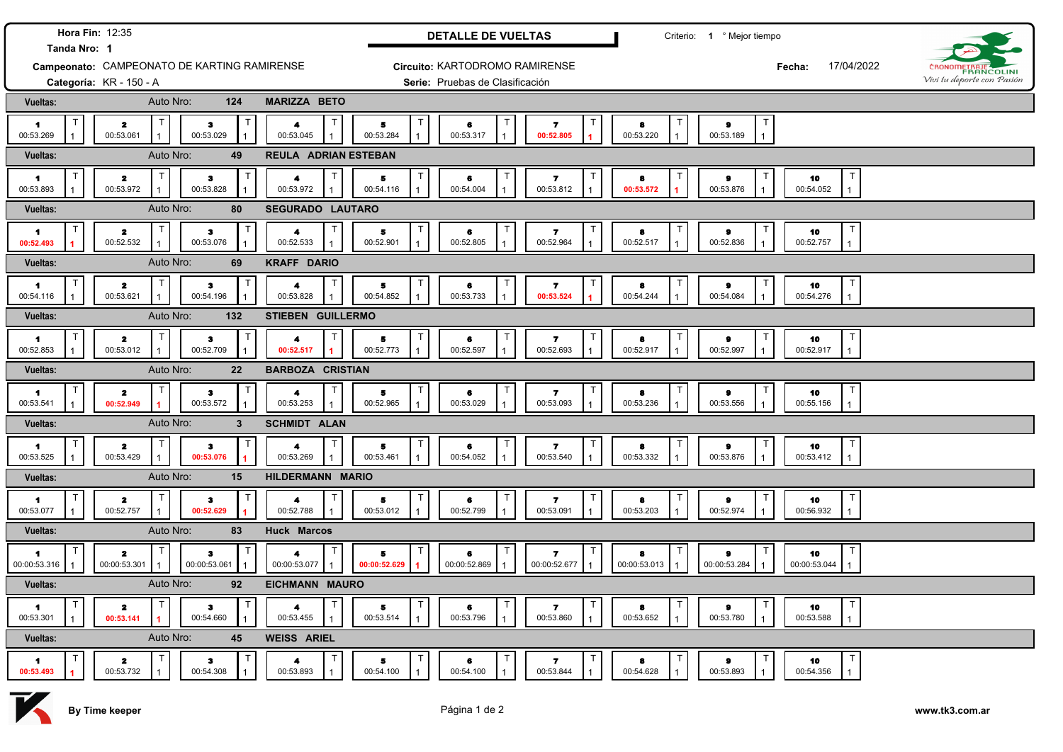| Hora Fin: 12:35<br>Tanda Nro: 1 |                                             |                                                  |                                                                  | <b>DETALLE DE VUELTAS</b>              |                                 |                                                      | Criterio: 1 º Mejor tiempo |                                               |                                                |                            |
|---------------------------------|---------------------------------------------|--------------------------------------------------|------------------------------------------------------------------|----------------------------------------|---------------------------------|------------------------------------------------------|----------------------------|-----------------------------------------------|------------------------------------------------|----------------------------|
|                                 | Campeonato: CAMPEONATO DE KARTING RAMIRENSE |                                                  |                                                                  |                                        | Circuito: KARTODROMO RAMIRENSE  |                                                      |                            |                                               | 17/04/2022<br>Fecha:                           | <b>BANCOLINI</b>           |
|                                 | Categoría: KR - 150 - A                     |                                                  |                                                                  |                                        | Serie: Pruebas de Clasificación |                                                      |                            |                                               |                                                | Vivi tu deporte con Pasión |
| <b>Vueltas:</b>                 | Auto Nro:                                   | 124                                              | <b>MARIZZA BETO</b>                                              |                                        |                                 |                                                      |                            |                                               |                                                |                            |
| $\mathbf{1}$<br>00:53.269       | т<br>$\mathbf{z}$<br>00:53.061              | $\bullet$<br>00:53.029<br>1                      | Т<br>$\blacktriangleleft$<br>00:53.045                           | $\ddot{\phantom{a}}$<br>00:53.284      | T<br>6<br>00:53.317             | $\mathbf{z}$<br>00:52.805                            | 8<br>00:53.220             | т<br>$\bullet$<br>00:53.189<br>$\overline{1}$ |                                                |                            |
| Vueltas:                        | Auto Nro:                                   | 49                                               | <b>REULA ADRIAN ESTEBAN</b>                                      |                                        |                                 |                                                      |                            |                                               |                                                |                            |
| $\blacksquare$<br>00:53.893     | T<br>$\mathbf{z}$<br>00:53.972              | $\ddot{\mathbf{3}}$<br>00:53.828<br>$\mathbf{1}$ | Т<br>$\blacktriangleleft$<br>00:53.972                           | 5<br>00:54.116                         | T<br>6<br>00:54.004             | $\mathbf{z}$<br>00:53.812                            | 8<br>00:53.572             | $\bullet$<br>00:53.876                        | т<br>10<br>00:54.052<br>$\mathbf{1}$           |                            |
| Vueltas:                        | Auto Nro:                                   | 80                                               | SEGURADO LAUTARO                                                 |                                        |                                 |                                                      |                            |                                               |                                                |                            |
| п<br>1<br>00:52.493             | T<br>$\mathbf{2}$<br>00:52.532              | $\bf 3$<br>00:53.076<br>$\mathbf{1}$             | $\mathsf T$<br>$\blacktriangleleft$<br>00:52.533<br>$\mathbf{1}$ | $\bullet$<br>00:52.901<br>$\mathbf{1}$ | T<br>6<br>00:52.805             | $\mathbf{7}$<br>00:52.964                            | 8<br>00:52.517             | $\bullet$<br>00:52.836                        | $\mathsf T$<br>10<br>00:52.757<br>$\mathbf{1}$ |                            |
| <b>Vueltas:</b>                 | Auto Nro:                                   | 69                                               | <b>KRAFF DARIO</b>                                               |                                        |                                 |                                                      |                            |                                               |                                                |                            |
| $\mathsf{T}$<br>1<br>00:54.116  | T<br>$\mathbf{z}$<br>00:53.621              | $\top$<br>$\bullet$<br>00:54.196<br>$\mathbf{1}$ | $\mathsf{T}$<br>4<br>00:53.828<br>$\mathbf{1}$                   | T<br>5<br>00:54.852                    | T<br>6<br>00:53.733             | $\mathsf{T}$<br>$\overline{\mathbf{z}}$<br>00:53.524 | 8<br>00:54.244             | $\bullet$<br>00:54.084                        | T<br>10<br>00:54.276<br>$\mathbf{1}$           |                            |
| <b>Vueltas:</b>                 | Auto Nro:                                   | 132                                              | STIEBEN GUILLERMO                                                |                                        |                                 |                                                      |                            |                                               |                                                |                            |
| 1.<br>00:52.853                 | $\mathsf{T}$<br>$\mathbf{z}$<br>00:53.012   | $\bullet$<br>00:52.709                           | $\mathsf{T}$<br>4<br>00:52.517<br>$\overline{1}$                 | $\top$<br>5<br>00:52.773               | $\top$<br>6<br>00:52.597        | Т<br>$\mathbf{z}$<br>00:52.693                       | 8<br>00:52.917             | $\bullet$<br>00:52.997                        | T<br>10<br>00:52.917<br>$\mathbf{1}$           |                            |
| Vueltas:                        | Auto Nro:                                   | 22                                               | <b>BARBOZA CRISTIAN</b>                                          |                                        |                                 |                                                      |                            |                                               |                                                |                            |
| 1<br>00:53.541                  | $\mathsf{T}$<br>$\mathbf{z}$<br>00:52.949   | з<br>00:53.572<br>$\mathbf{1}$                   | $\mathsf{T}$<br>$\blacktriangle$<br>00:53.253                    | 5<br>00:52.965                         | $\mathsf{T}$<br>6<br>00:53.029  | T<br>$\mathbf{z}$<br>00:53.093                       | 8<br>00:53.236             | т<br>$\bullet$<br>00:53.556                   | T<br>10<br>00:55.156<br>$\mathbf{1}$           |                            |
| Vueltas:                        | Auto Nro:                                   | $\mathbf{3}$                                     | <b>SCHMIDT ALAN</b>                                              |                                        |                                 |                                                      |                            |                                               |                                                |                            |
| 1<br>00:53.525                  | T<br>$\mathbf{z}$<br>00:53.429              | 3<br>00:53.076                                   | $\mathsf T$<br>00:53.269                                         | $\overline{\phantom{a}}$<br>00:53.461  | $\mathsf T$<br>6<br>00:54.052   | T<br>$\overline{ }$<br>00:53.540                     | 8<br>00:53.332             | $\bullet$<br>00:53.876                        | T<br>10<br>00:53.412<br>$\mathbf{1}$           |                            |
| Vueltas:                        | Auto Nro:                                   | 15                                               | HILDERMANN MARIO                                                 |                                        |                                 |                                                      |                            |                                               |                                                |                            |
| -1.<br>00:53.077                | $\mathbf{z}$<br>00:52.757                   | Τ<br>$\mathbf{3}$<br>00:52.629                   | 4<br>00:52.788                                                   | 5<br>00:53.012                         | T<br>6<br>00:52.799             | Т<br>$\overline{ }$<br>00:53.091                     | 8<br>00:53.203             | Т<br>$\bullet$<br>00:52.974                   | T<br>10<br>00:56.932<br>$\mathbf{1}$           |                            |
| Vueltas:                        | Auto Nro:                                   | 83                                               | <b>Huck Marcos</b>                                               |                                        |                                 |                                                      |                            |                                               |                                                |                            |
| 1<br>00:00:53.316               | $\mathbf{z}$<br>00:00:53.301                | $\bullet$<br>00:00:53.061<br>$\overline{1}$      | 4<br>00:00:53.077                                                | $\mathbf{a}$<br>00:00:52.629           | $\top$<br>6<br>00:00:52.869     | $\overline{\mathbf{r}}$<br>00:00:52.677              | 8<br>00:00:53.013          | т<br>$\bullet$<br>00:00:53.284                | $\top$<br>10<br>00:00:53.044<br>$\mathbf{1}$   |                            |
| Vueltas:                        | Auto Nro:                                   | 92                                               | EICHMANN MAURO                                                   |                                        |                                 |                                                      |                            |                                               |                                                |                            |
| -1<br>00:53.301                 | $\overline{\mathbf{z}}$<br>00:53.141        | $\mathsf{T}$<br>з<br>00:54.660<br>$\mathbf{1}$   | 4<br>00:53.455                                                   | 5<br>00:53.514                         | $\mathsf{T}$<br>6<br>00:53.796  | T<br>-7<br>00:53.860                                 | 8<br>00:53.652             | Т<br>9<br>00:53.780                           | T<br>10<br>00:53.588<br>$\mathbf{1}$           |                            |
| Vueltas:                        | Auto Nro:                                   | 45                                               | <b>WEISS ARIEL</b>                                               |                                        |                                 |                                                      |                            |                                               |                                                |                            |
| 1<br>00:53.493                  | $\mathbf{z}$<br>00:53.732                   | з<br>00:54.308<br>$\mathbf{1}$                   | 00:53.893                                                        | 5<br>00:54.100                         | $\mathsf{T}$<br>6<br>00:54.100  | T<br>7<br>00:53.844                                  | 8<br>00:54.628             | 9<br>00:53.893                                | T<br>10<br>00:54.356<br>$\mathbf{1}$           |                            |